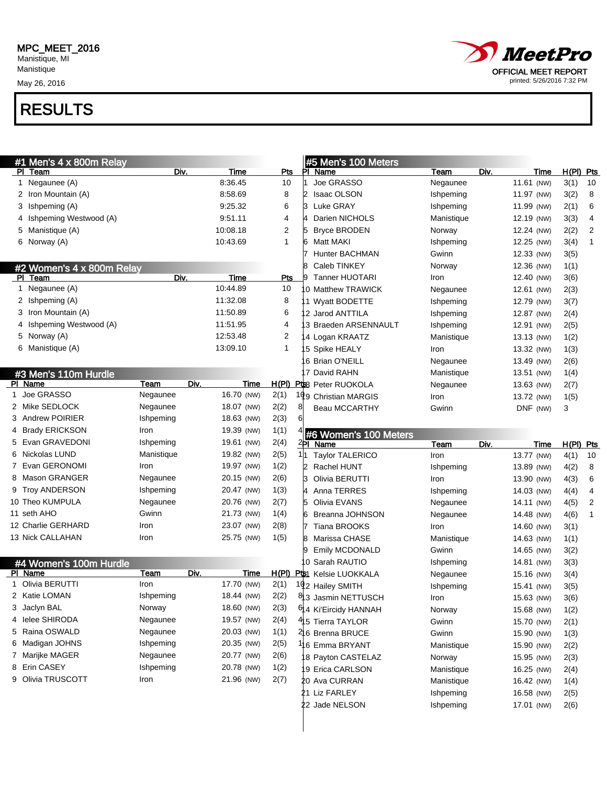May 26, 2016



| #1 Men's 4 x 800m Relay           |                     |             |                | #5 Men's 100 Meters          |            |            |      |              |                         |
|-----------------------------------|---------------------|-------------|----------------|------------------------------|------------|------------|------|--------------|-------------------------|
| PI Team                           | Div.                | Time        | Pts            | PI Name                      | Team       | Div.       | Time | H(PI) Pts    |                         |
| 1 Negaunee (A)                    |                     | 8:36.45     | 10             | Joe GRASSO                   | Negaunee   | 11.61 (NW) |      | 3(1)         | 10                      |
| 2 Iron Mountain (A)               |                     | 8:58.69     | 8              | I2<br><b>Isaac OLSON</b>     | Ishpeming  | 11.97 (NW) |      | 3(2)         | 8                       |
| 3 Ishpeming (A)                   |                     | 9:25.32     | 6              | Luke GRAY<br>IЗ              | Ishpeming  | 11.99 (NW) |      | 2(1)         | 6                       |
| Ishpeming Westwood (A)<br>4       |                     | 9:51.11     | 4              | Darien NICHOLS               | Manistique | 12.19 (NW) |      | 3(3)         | $\overline{\mathbf{4}}$ |
| Manistique (A)<br>5               |                     | 10:08.18    | $\overline{2}$ | <b>Bryce BRODEN</b><br>15    | Norway     | 12.24 (NW) |      | 2(2)         | $\overline{2}$          |
| 6 Norway (A)                      |                     | 10:43.69    | $\mathbf{1}$   | 16<br>Matt MAKI              | Ishpeming  | 12.25 (NW) |      | 3(4)         | $\mathbf{1}$            |
|                                   |                     |             |                | <b>Hunter BACHMAN</b>        | Gwinn      | 12.33 (NW) |      | 3(5)         |                         |
| #2 Women's 4 x 800m Relay         |                     |             |                | Caleb TINKEY                 | Norway     | 12.36 (NW) |      | 1(1)         |                         |
| PI Team                           | Div.                | <b>Time</b> | Pts            | Tanner HUOTARI<br>19         | Iron       | 12.40 (NW) |      | 3(6)         |                         |
| 1 Negaunee (A)                    |                     | 10:44.89    | 10             | 0 Matthew TRAWICK            | Negaunee   | 12.61 (NW) |      | 2(3)         |                         |
| 2 Ishpeming (A)                   |                     | 11:32.08    | 8              | 1 Wyatt BODETTE              | Ishpeming  | 12.79 (NW) |      | 3(7)         |                         |
| 3 Iron Mountain (A)               |                     | 11:50.89    | 6              | 2 Jarod ANTTILA              | Ishpeming  | 12.87 (NW) |      | 2(4)         |                         |
| Ishpeming Westwood (A)<br>4       |                     | 11:51.95    | 4              | 3 Braeden ARSENNAULT         | Ishpeming  | 12.91 (NW) |      | 2(5)         |                         |
| 5 Norway (A)                      |                     | 12:53.48    | 2              | 4 Logan KRAATZ               | Manistique | 13.13 (NW) |      | 1(2)         |                         |
| 6 Manistique (A)                  |                     | 13:09.10    | $\mathbf{1}$   | 5 Spike HEALY                | Iron       | 13.32 (NW) |      | 1(3)         |                         |
|                                   |                     |             |                | 6 Brian O'NEILL              | Negaunee   | 13.49 (NW) |      | 2(6)         |                         |
| #3 Men's 110m Hurdle              |                     |             |                | 7 David RAHN                 | Manistique | 13.51 (NW) |      | 1(4)         |                         |
| PI Name                           | Div.<br>Team        | Time        |                | H(PI) Pts Peter RUOKOLA      | Negaunee   | 13.63 (NW) |      | 2(7)         |                         |
| 1 Joe GRASSO                      | Negaunee            | 16.70 (NW)  | 2(1)           | 199 Christian MARGIS         | Iron       | 13.72 (NW) |      | 1(5)         |                         |
| Mike SEDLOCK<br>2                 | Negaunee            | 18.07 (NW)  | 2(2)           | ଖ<br><b>Beau MCCARTHY</b>    | Gwinn      | DNF (NW)   |      | 3            |                         |
| Andrew POIRIER<br>3               | Ishpeming           | 18.63 (NW)  | 2(3)           |                              |            |            |      |              |                         |
| <b>Brady ERICKSON</b><br>4        | Iron                | 19.39 (NW)  | 1(1)           | #6 Women's 100 Meters        |            |            |      |              |                         |
| Evan GRAVEDONI<br>5               | Ishpeming           | 19.61 (NW)  | 2(4)           | <sup>∠</sup> PI Name         | Team       | Div.       | Time | H(PI) Pts    |                         |
| Nickolas LUND<br>6                | Manistique          | 19.82 (NW)  | 2(5)           | 1h<br><b>Taylor TALERICO</b> | Iron       | 13.77 (NW) |      | 4(1)         | 10                      |
| Evan GERONOMI<br>7                | Iron                | 19.97 (NW)  | 1(2)           | I2<br>Rachel HUNT            | Ishpeming  | 13.89 (NW) |      | 4(2)         | 8                       |
| Mason GRANGER<br>8                | Negaunee            | 20.15 (NW)  |                | b<br>Olivia BERUTTI          | Iron       | 13.90 (NW) |      | 4(3)         | 6                       |
|                                   |                     |             | 2(6)           |                              |            |            |      |              | 4                       |
| <b>Troy ANDERSON</b><br>9         | Ishpeming           | 20.47 (NW)  | 1(3)           | 14<br>Anna TERRES            | Ishpeming  | 14.03 (NW) |      | 4(4)         |                         |
| Theo KUMPULA<br>10                | Negaunee            | 20.76 (NW)  | 2(7)           | 5<br>Olivia EVANS            | Negaunee   | 14.11 (NW) |      | 4(5)         | 2                       |
| 11 seth AHO                       | Gwinn               | 21.73 (NW)  | 1(4)           | k<br>Breanna JOHNSON         | Negaunee   | 14.48 (NW) |      | 4(6)         | $\mathbf{1}$            |
| 12 Charlie GERHARD                | Iron                | 23.07 (NW)  | 2(8)           | <b>Tiana BROOKS</b>          | Iron       | 14.60 (NW) |      | 3(1)         |                         |
| 13 Nick CALLAHAN                  | Iron                | 25.75 (NW)  | 1(5)           | 18<br>Marissa CHASE          | Manistique | 14.63 (NW) |      | 1(1)         |                         |
|                                   |                     |             |                | Emily MCDONALD<br>g          | Gwinn      | 14.65 (NW) |      | 3(2)         |                         |
|                                   |                     |             |                | 0 Sarah RAUTIO               | Ishpeming  | 14.81 (NW) |      | 3(3)         |                         |
| #4 Women's 100m Hurdle<br>PI Name | Div.<br><b>Team</b> | Time        |                | H(PI) Pts1 Kelsie LUOKKALA   | Negaunee   | 15.16 (NW) |      | 3(4)         |                         |
| 1 Olivia BERUTTI                  | Iron                | 17.70 (NW)  | 2(1)           | 192 Hailey SMITH             | Ishpeming  | 15.41 (NW) |      | 3(5)         |                         |
| 2 Katie LOMAN                     | Ishpeming           | 18.44 (NW)  | 2(2)           | 83 Jasmin NETTUSCH           | Iron       | 15.63 (NW) |      | 3(6)         |                         |
| 3 Jaclyn BAL                      | Norway              | 18.60 (NW)  | 2(3)           | 64 Ki'Eircidy HANNAH         | Norway     | 15.68 (NW) |      | 1(2)         |                         |
| 4 lelee SHIRODA                   | Negaunee            | 19.57 (NW)  | 2(4)           | 415 Tierra TAYLOR            | Gwinn      | 15.70 (NW) |      | 2(1)         |                         |
| 5 Raina OSWALD                    | Negaunee            | 20.03 (NW)  | 1(1)           | 격6 Brenna BRUCE              | Gwinn      | 15.90 (NW) |      | 1(3)         |                         |
| 6 Madigan JOHNS                   | Ishpeming           | 20.35 (NW)  | 2(5)           | 116 Emma BRYANT              | Manistique | 15.90 (NW) |      | 2(2)         |                         |
| 7 Marijke MAGER                   | Negaunee            | 20.77 (NW)  | 2(6)           | 8 Payton CASTELAZ            | Norway     | 15.95 (NW) |      |              |                         |
| 8 Erin CASEY                      | Ishpeming           | 20.78 (NW)  | 1(2)           | 9 Erica CARLSON              | Manistique | 16.25 (NW) |      | 2(3)<br>2(4) |                         |
| 9 Olivia TRUSCOTT                 | Iron                | 21.96 (NW)  | 2(7)           | 20 Ava CURRAN                | Manistique | 16.42 (NW) |      | 1(4)         |                         |
|                                   |                     |             |                | 21 Liz FARLEY                | Ishpeming  | 16.58 (NW) |      | 2(5)         |                         |
|                                   |                     |             |                | 22 Jade NELSON               | Ishpeming  | 17.01 (NW) |      | 2(6)         |                         |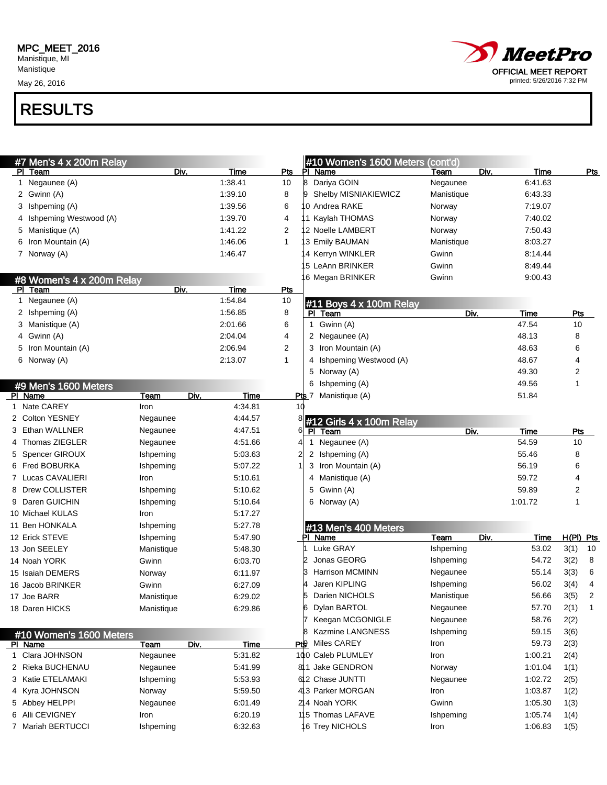Manistique May 26, 2016



| #7 Men's 4 x 200m Relay     |                     |             |                | #10 Women's 1600 Meters     | $\overline{1}$ (cont'd) |      |             |                |                         |
|-----------------------------|---------------------|-------------|----------------|-----------------------------|-------------------------|------|-------------|----------------|-------------------------|
| PI Team                     | Div.                | Time        | Pts            | PI.<br>Name                 | Team                    | Div. | Time        |                | <u>Pts</u>              |
| 1 Negaunee (A)              |                     | 1:38.41     | 10             | Dariya GOIN<br>8            | Negaunee                |      | 6:41.63     |                |                         |
| 2 Gwinn (A)                 |                     | 1:39.10     | 8              | Shelby MISNIAKIEWICZ        | Manistique              |      | 6:43.33     |                |                         |
| 3 Ishpeming (A)             |                     | 1:39.56     | 6              | 0 Andrea RAKE               | Norway                  |      | 7:19.07     |                |                         |
| Ishpeming Westwood (A)<br>4 |                     | 1:39.70     | 4              | 1 Kaylah THOMAS             | Norway                  |      | 7:40.02     |                |                         |
| 5 Manistique (A)            |                     | 1:41.22     | 2              | 2 Noelle LAMBERT            | Norway                  |      | 7:50.43     |                |                         |
| Iron Mountain (A)<br>6      |                     | 1:46.06     | $\mathbf{1}$   | 3 Emily BAUMAN              | Manistique              |      | 8:03.27     |                |                         |
| 7 Norway (A)                |                     | 1:46.47     |                | 4 Kerryn WINKLER            | Gwinn                   |      | 8:14.44     |                |                         |
|                             |                     |             |                | 5 LeAnn BRINKER             | Gwinn                   |      | 8:49.44     |                |                         |
| #8 Women's 4 x 200m Relay   |                     |             |                | 6 Megan BRINKER             | Gwinn                   |      | 9:00.43     |                |                         |
| PI Team                     | Div.                | <b>Time</b> | Pts            |                             |                         |      |             |                |                         |
| 1 Negaunee (A)              |                     | 1:54.84     | 10             | #11 Boys 4 x 100m Relay     |                         |      |             |                |                         |
| 2 Ishpeming (A)             |                     | 1:56.85     | 8              | PI Team                     | Div.                    |      | Time        | <b>Pts</b>     |                         |
| 3 Manistique (A)            |                     | 2:01.66     | 6              | Gwinn (A)<br>$\mathbf{1}$   |                         |      | 47.54       | 10             |                         |
| Gwinn (A)<br>4              |                     | 2:04.04     | 4              | 2 Negaunee (A)              |                         |      | 48.13       | 8              |                         |
| Iron Mountain (A)<br>5      |                     | 2:06.94     | $\overline{2}$ | 3 Iron Mountain (A)         |                         |      | 48.63       | 6              |                         |
| 6 Norway (A)                |                     | 2:13.07     | $\mathbf{1}$   | Ishpeming Westwood (A)<br>4 |                         |      | 48.67       | 4              |                         |
|                             |                     |             |                | 5 Norway (A)                |                         |      | 49.30       | $\overline{2}$ |                         |
| #9 Men's 1600 Meters        |                     |             |                | 6 Ishpeming (A)             |                         |      | 49.56       | 1              |                         |
| PI Name                     | <b>Team</b><br>Div. | <b>Time</b> |                | Manistique (A)<br>Pts 7     |                         |      | 51.84       |                |                         |
| 1 Nate CAREY                | Iron                | 4:34.81     | 10             |                             |                         |      |             |                |                         |
| 2 Colton YESNEY             | Negaunee            | 4:44.57     |                | #12 Girls 4 x 100m Relay    |                         |      |             |                |                         |
| Ethan WALLNER<br>3          | Negaunee            | 4:47.51     | 6              | Team<br>PI.                 | Div.                    |      | <b>Time</b> | Pts            |                         |
| Thomas ZIEGLER<br>4         | Negaunee            | 4:51.66     | 4              | Negaunee (A)<br>1           |                         |      | 54.59       | 10             |                         |
| Spencer GIROUX              | Ishpeming           | 5:03.63     | 2              | 2 Ishpeming (A)             |                         |      | 55.46       | 8              |                         |
| Fred BOBURKA<br>6           | Ishpeming           | 5:07.22     |                | 3 Iron Mountain (A)         |                         |      | 56.19       | 6              |                         |
| Lucas CAVALIERI<br>7        | Iron                | 5:10.61     |                | Manistique (A)<br>4         |                         |      | 59.72       | 4              |                         |
| Drew COLLISTER<br>8         | Ishpeming           | 5:10.62     |                | 5 Gwinn (A)                 |                         |      | 59.89       | 2              |                         |
| Daren GUICHIN<br>9          | Ishpeming           | 5:10.64     |                | 6 Norway (A)                |                         |      | 1:01.72     | 1              |                         |
| 10 Michael KULAS            | Iron                | 5:17.27     |                |                             |                         |      |             |                |                         |
| 11 Ben HONKALA              | Ishpeming           | 5:27.78     |                | #13 Men's 400 Meters        |                         |      |             |                |                         |
| 12 Erick STEVE              | Ishpeming           | 5:47.90     |                | Name                        | Team                    | Div. | Time        | $H(PI)$ Pts    |                         |
| 13 Jon SEELEY               | Manistique          | 5:48.30     |                | Luke GRAY                   | Ishpeming               |      | 53.02       | 3(1)           | 10                      |
| 14 Noah YORK                | Gwinn               | 6:03.70     |                | Jonas GEORG                 | Ishpeming               |      | 54.72       | 3(2)           | 8                       |
| 15 Isaiah DEMERS            | Norway              | 6:11.97     |                | <b>Harrison MCMINN</b><br>ß | Negaunee                |      | 55.14       | 3(3)           | 6                       |
| 16 Jacob BRINKER            | Gwinn               | 6:27.09     |                | Jaren KIPLING               | Ishpeming               |      | 56.02       | 3(4)           | 4                       |
| 17 Joe BARR                 | Manistique          | 6:29.02     |                | 5 Darien NICHOLS            | Manistique              |      | 56.66       | 3(5)           | $\overline{2}$          |
| 18 Daren HICKS              | Manistique          | 6:29.86     |                | Dylan BARTOL<br>16          | Negaunee                |      | 57.70       | 2(1)           | $\overline{\mathbf{1}}$ |
|                             |                     |             |                | Keegan MCGONIGLE            | Negaunee                |      | 58.76       | 2(2)           |                         |
| #10 Women's 1600 Meters     |                     |             |                | Kazmine LANGNESS<br>18      | Ishpeming               |      | 59.15       | 3(6)           |                         |
| PI Name                     | Div.<br>Team        | <u>Time</u> |                | Pt Miles CAREY              | Iron                    |      | 59.73       | 2(3)           |                         |
| 1 Clara JOHNSON             | Negaunee            | 5:31.82     |                | 100 Caleb PLUMLEY           | Iron                    |      | 1:00.21     | 2(4)           |                         |
| 2 Rieka BUCHENAU            | Negaunee            | 5:41.99     |                | 811 Jake GENDRON            | Norway                  |      | 1:01.04     | 1(1)           |                         |
| 3 Katie ETELAMAKI           | Ishpeming           | 5:53.93     |                | 62 Chase JUNTTI             | Negaunee                |      | 1:02.72     | 2(5)           |                         |
| Kyra JOHNSON<br>4           | Norway              | 5:59.50     |                | 413 Parker MORGAN           | Iron                    |      | 1:03.87     | 1(2)           |                         |
| 5 Abbey HELPPI              | Negaunee            | 6:01.49     |                | 24 Noah YORK                | Gwinn                   |      | 1:05.30     | 1(3)           |                         |
| Alli CEVIGNEY<br>6          | Iron                | 6:20.19     |                | 115 Thomas LAFAVE           | Ishpeming               |      | 1:05.74     | 1(4)           |                         |
| 7 Mariah BERTUCCI           | Ishpeming           | 6:32.63     |                | 6 Trey NICHOLS              | Iron                    |      | 1:06.83     | 1(5)           |                         |
|                             |                     |             |                |                             |                         |      |             |                |                         |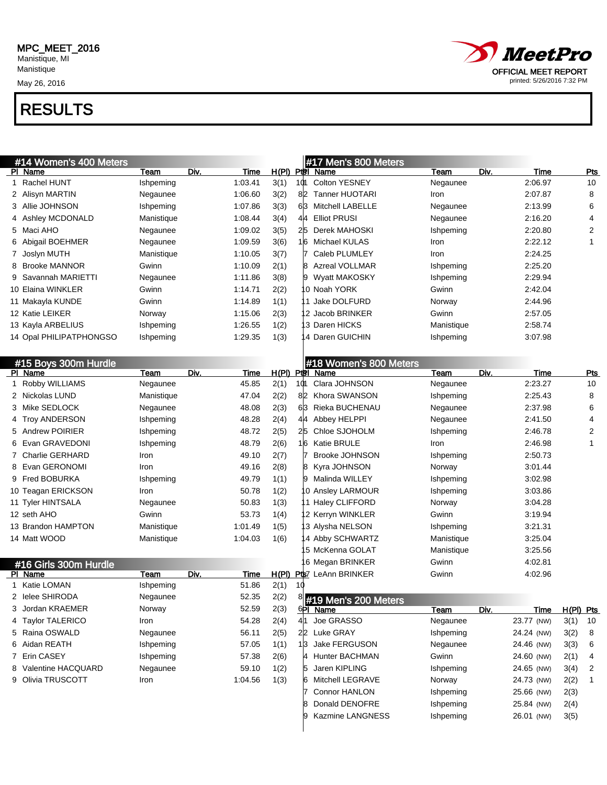May 26, 2016



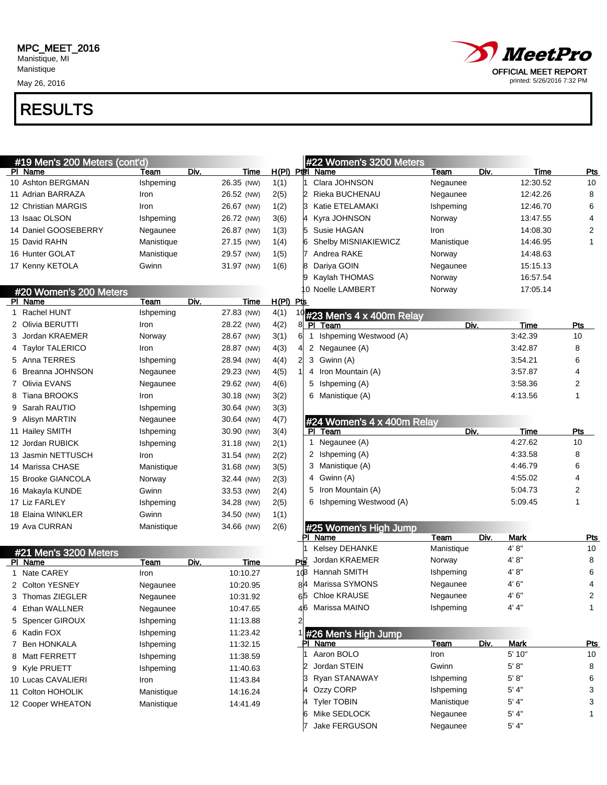May 26, 2016



| #19 Men's 200 Meters (cont'd) |            |                     |                  |     | #22 Women's 3200 Meters                |            |      |             |            |
|-------------------------------|------------|---------------------|------------------|-----|----------------------------------------|------------|------|-------------|------------|
| PI Name                       | Team       | Div.<br>Time        |                  |     | $H(PI)$ Ptel Name                      | Team       | Div. | Time        | Pts        |
| 10 Ashton BERGMAN             | Ishpeming  | 26.35 (NW)          | 1(1)             |     | Clara JOHNSON                          | Negaunee   |      | 12:30.52    | 10         |
| 11 Adrian BARRAZA             | Iron       | 26.52 (NW)          | 2(5)             |     | Rieka BUCHENAU                         | Negaunee   |      | 12:42.26    | 8          |
| 12 Christian MARGIS           | Iron       | 26.67 (NW)          | 1(2)             |     | Katie ETELAMAKI                        | Ishpeming  |      | 12:46.70    | 6          |
| 13 Isaac OLSON                | Ishpeming  | 26.72 (NW)          | 3(6)             |     | Kyra JOHNSON                           | Norway     |      | 13:47.55    | 4          |
| 14 Daniel GOOSEBERRY          | Negaunee   | 26.87 (NW)          | 1(3)             |     | Susie HAGAN                            | Iron       |      | 14:08.30    | 2          |
| 15 David RAHN                 | Manistique | 27.15 (NW)          | 1(4)             |     | Shelby MISNIAKIEWICZ                   | Manistique |      | 14:46.95    | 1          |
| 16 Hunter GOLAT               | Manistique | 29.57 (NW)          | 1(5)             |     | Andrea RAKE                            | Norway     |      | 14:48.63    |            |
| 17 Kenny KETOLA               | Gwinn      | 31.97 (NW)          | 1(6)             |     | Dariya GOIN                            | Negaunee   |      | 15:15.13    |            |
|                               |            |                     |                  |     | Kaylah THOMAS                          | Norway     |      | 16:57.54    |            |
| #20 Women's 200 Meters        |            |                     |                  |     | 0 Noelle LAMBERT                       | Norway     |      | 17:05.14    |            |
| PI Name                       | Team       | Div.<br>Time        | <u>H(PI) Pts</u> |     |                                        |            |      |             |            |
| Rachel HUNT                   | Ishpeming  | 27.83 (NW)          | 4(1)             |     | #23 Men's 4 x 400m Relay               |            |      |             |            |
| Olivia BERUTTI                | Iron       | 28.22 (NW)          | 4(2)             |     | PI Team                                | Div.       |      | <b>Time</b> | Pts        |
| Jordan KRAEMER                | Norway     | 28.67 (NW)          | 3(1)             | 61  | Ishpeming Westwood (A)<br>$\mathbf{1}$ |            |      | 3:42.39     | 10         |
| <b>Taylor TALERICO</b>        | Iron       | 28.87 (NW)          | 4(3)             |     | 2 Negaunee (A)                         |            |      | 3:42.87     | 8          |
| Anna TERRES<br>5.             | Ishpeming  | 28.94 (NW)          | 4(4)             | 21  | 3 Gwinn (A)                            |            |      | 3:54.21     | 6          |
| Breanna JOHNSON               | Negaunee   | 29.23 (NW)          | 4(5)             |     | 4 Iron Mountain (A)                    |            |      | 3:57.87     | 4          |
| Olivia EVANS                  | Negaunee   | 29.62 (NW)          | 4(6)             |     | 5 Ishpeming (A)                        |            |      | 3:58.36     | 2          |
| Tiana BROOKS                  | Iron       | 30.18 (NW)          | 3(2)             |     | 6 Manistique (A)                       |            |      | 4:13.56     | 1          |
| Sarah RAUTIO                  | Ishpeming  | 30.64 (NW)          | 3(3)             |     |                                        |            |      |             |            |
| Alisyn MARTIN<br>9            | Negaunee   | 30.64 (NW)          | 4(7)             |     | #24 Women's 4 x 400m Relay             |            |      |             |            |
| 11 Hailey SMITH               | Ishpeming  | 30.90 (NW)          | 3(4)             |     | Team<br>PI.                            | Div.       |      | Time        | Pts        |
| 12 Jordan RUBICK              | Ishpeming  | 31.18 (NW)          | 2(1)             |     | Negaunee (A)<br>1                      |            |      | 4:27.62     | 10         |
| 13 Jasmin NETTUSCH            | Iron       | 31.54 (NW)          | 2(2)             |     | 2 Ishpeming (A)                        |            |      | 4:33.58     | 8          |
| 14 Marissa CHASE              | Manistique | 31.68 (NW)          | 3(5)             |     | 3 Manistique (A)                       |            |      | 4:46.79     | 6          |
| 15 Brooke GIANCOLA            | Norway     | 32.44 (NW)          | 2(3)             |     | 4 Gwinn (A)                            |            |      | 4:55.02     | 4          |
| 16 Makayla KUNDE              | Gwinn      | 33.53 (NW)          | 2(4)             |     | 5 Iron Mountain (A)                    |            |      | 5:04.73     | 2          |
| 17 Liz FARLEY                 | Ishpeming  | 34.28 (NW)          | 2(5)             |     | 6 Ishpeming Westwood (A)               |            |      | 5:09.45     | 1          |
| 18 Elaina WINKLER             | Gwinn      | 34.50 (NW)          | 1(1)             |     |                                        |            |      |             |            |
| 19 Ava CURRAN                 | Manistique | 34.66 (NW)          | 2(6)             |     | #25 Women's High Jump                  |            |      |             |            |
|                               |            |                     |                  |     | PI Name                                | Team       | Div. | <b>Mark</b> | <u>Pts</u> |
| #21 Men's 3200 Meters         |            |                     |                  |     | Kelsey DEHANKE                         | Manistique |      | 4' 8"       | 10         |
| PI Name                       | Team       | <b>Time</b><br>Div. |                  | Pt₿ | Jordan KRAEMER                         | Norway     |      | 4'8"        | 8          |
| Nate CAREY                    | Iron       | 10:10.27            |                  | 10B | Hannah SMITH                           | Ishpeming  |      | 4'8"        | 6          |
| 2 Colton YESNEY               | Negaunee   | 10:20.95            |                  | 8Κ  | Marissa SYMONS                         | Negaunee   |      | 4' 6"       | 4          |
| 3 Thomas ZIEGLER              | Negaunee   | 10:31.92            |                  |     | Chloe KRAUSE                           | Negaunee   |      | 4' 6"       | 2          |
| 4 Ethan WALLNER               | Negaunee   | 10:47.65            |                  |     | 46 Marissa MAINO                       | Ishpeming  |      | 4' 4"       | 1          |
| 5 Spencer GIROUX              | Ishpeming  | 11:13.88            |                  |     |                                        |            |      |             |            |
| 6 Kadin FOX                   | Ishpeming  | 11:23.42            |                  |     | #26 Men's High Jump                    |            |      |             |            |
| 7 Ben HONKALA                 | Ishpeming  | 11:32.15            |                  |     | PI Name                                | Team       | Div. | <b>Mark</b> | <u>Pts</u> |
| 8 Matt FERRETT                | Ishpeming  | 11:38.59            |                  |     | Aaron BOLO                             | Iron       |      | 5' 10"      | 10         |
| 9 Kyle PRUETT                 | Ishpeming  | 11:40.63            |                  |     | Jordan STEIN                           | Gwinn      |      | 5' 8''      | 8          |
| 10 Lucas CAVALIERI            | Iron       | 11:43.84            |                  |     | Ryan STANAWAY                          | Ishpeming  |      | 5' 8''      | 6          |
| 11 Colton HOHOLIK             | Manistique | 14:16.24            |                  |     | Ozzy CORP                              | Ishpeming  |      | 5' 4"       | 3          |
| 12 Cooper WHEATON             | Manistique | 14:41.49            |                  |     | <b>Tyler TOBIN</b>                     | Manistique |      | 5' 4"       | 3          |
|                               |            |                     |                  | 6   | Mike SEDLOCK                           | Negaunee   |      | 5' 4"       | 1          |
|                               |            |                     |                  |     | Jake FERGUSON                          | Negaunee   |      | 5' 4"       |            |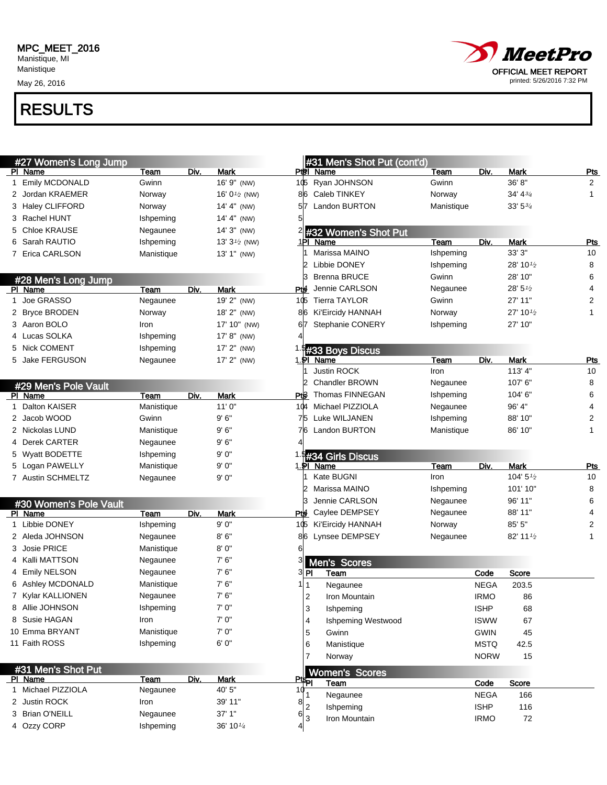Manistique May 26, 2016

## RESULTS



OFFICIAL MEET REPORT printed: 5/26/2016 7:32 PM

**MeetPro**